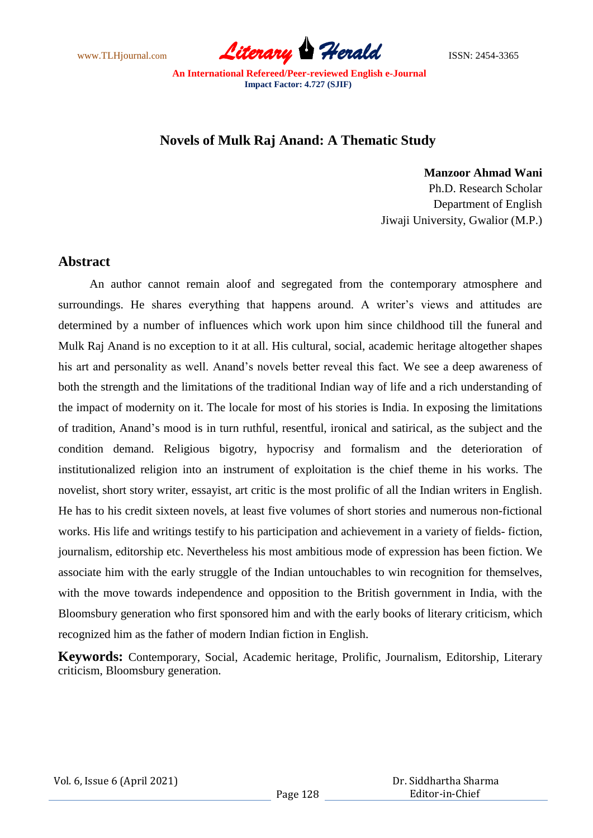www.TLHjournal.com **Literary Herald Herald** ISSN: 2454-3365

## **Novels of Mulk Raj Anand: A Thematic Study**

**Manzoor Ahmad Wani**

Ph.D. Research Scholar Department of English Jiwaji University, Gwalior (M.P.)

## **Abstract**

An author cannot remain aloof and segregated from the contemporary atmosphere and surroundings. He shares everything that happens around. A writer's views and attitudes are determined by a number of influences which work upon him since childhood till the funeral and Mulk Raj Anand is no exception to it at all. His cultural, social, academic heritage altogether shapes his art and personality as well. Anand's novels better reveal this fact. We see a deep awareness of both the strength and the limitations of the traditional Indian way of life and a rich understanding of the impact of modernity on it. The locale for most of his stories is India. In exposing the limitations of tradition, Anand's mood is in turn ruthful, resentful, ironical and satirical, as the subject and the condition demand. Religious bigotry, hypocrisy and formalism and the deterioration of institutionalized religion into an instrument of exploitation is the chief theme in his works. The novelist, short story writer, essayist, art critic is the most prolific of all the Indian writers in English. He has to his credit sixteen novels, at least five volumes of short stories and numerous non-fictional works. His life and writings testify to his participation and achievement in a variety of fields- fiction, journalism, editorship etc. Nevertheless his most ambitious mode of expression has been fiction. We associate him with the early struggle of the Indian untouchables to win recognition for themselves, with the move towards independence and opposition to the British government in India, with the Bloomsbury generation who first sponsored him and with the early books of literary criticism, which recognized him as the father of modern Indian fiction in English.

**Keywords:** Contemporary, Social, Academic heritage, Prolific, Journalism, Editorship, Literary criticism, Bloomsbury generation.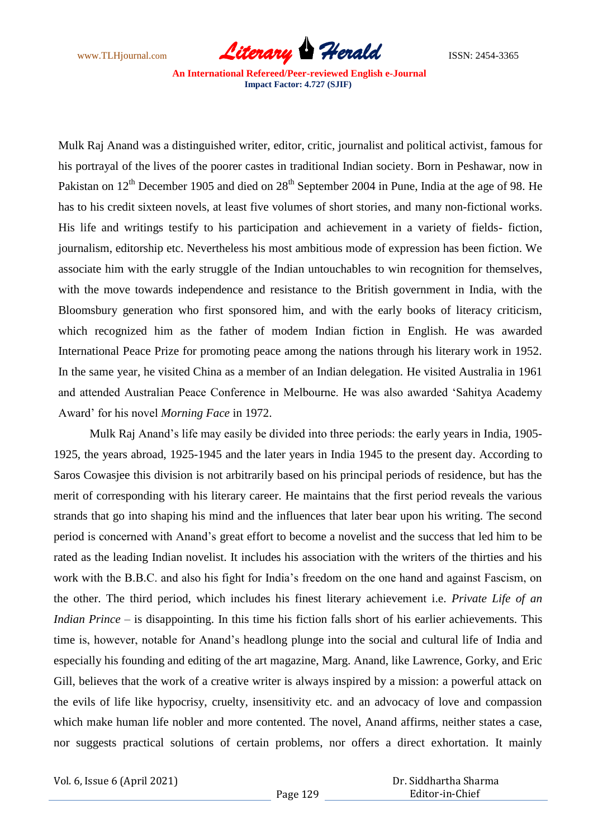www.TLHjournal.com **Literary Herald Herald** ISSN: 2454-3365

Mulk Raj Anand was a distinguished writer, editor, critic, journalist and political activist, famous for his portrayal of the lives of the poorer castes in traditional Indian society. Born in Peshawar, now in Pakistan on 12<sup>th</sup> December 1905 and died on 28<sup>th</sup> September 2004 in Pune, India at the age of 98. He has to his credit sixteen novels, at least five volumes of short stories, and many non-fictional works. His life and writings testify to his participation and achievement in a variety of fields- fiction, journalism, editorship etc. Nevertheless his most ambitious mode of expression has been fiction. We associate him with the early struggle of the Indian untouchables to win recognition for themselves, with the move towards independence and resistance to the British government in India, with the Bloomsbury generation who first sponsored him, and with the early books of literacy criticism, which recognized him as the father of modem Indian fiction in English. He was awarded International Peace Prize for promoting peace among the nations through his literary work in 1952. In the same year, he visited China as a member of an Indian delegation. He visited Australia in 1961 and attended Australian Peace Conference in Melbourne. He was also awarded 'Sahitya Academy Award' for his novel *Morning Face* in 1972.

Mulk Raj Anand's life may easily be divided into three periods: the early years in India, 1905- 1925, the years abroad, 1925-1945 and the later years in India 1945 to the present day. According to Saros Cowasjee this division is not arbitrarily based on his principal periods of residence, but has the merit of corresponding with his literary career. He maintains that the first period reveals the various strands that go into shaping his mind and the influences that later bear upon his writing. The second period is concerned with Anand's great effort to become a novelist and the success that led him to be rated as the leading Indian novelist. It includes his association with the writers of the thirties and his work with the B.B.C. and also his fight for India's freedom on the one hand and against Fascism, on the other. The third period, which includes his finest literary achievement i.e. *Private Life of an Indian Prince –* is disappointing. In this time his fiction falls short of his earlier achievements. This time is, however, notable for Anand's headlong plunge into the social and cultural life of India and especially his founding and editing of the art magazine, Marg. Anand, like Lawrence, Gorky, and Eric Gill, believes that the work of a creative writer is always inspired by a mission: a powerful attack on the evils of life like hypocrisy, cruelty, insensitivity etc. and an advocacy of love and compassion which make human life nobler and more contented. The novel, Anand affirms, neither states a case, nor suggests practical solutions of certain problems, nor offers a direct exhortation. It mainly

Vol. 6, Issue 6 (April 2021)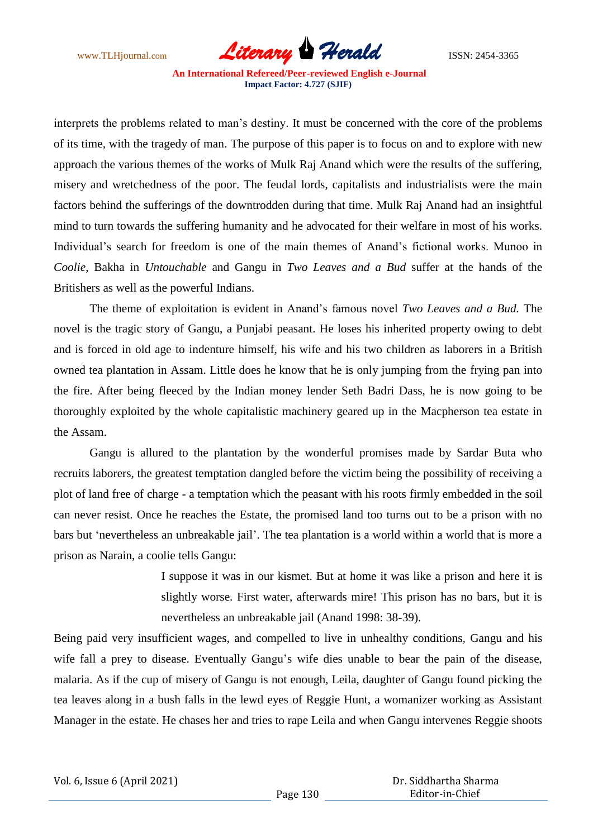www.TLHjournal.com *Literary Herald*ISSN: 2454-3365

interprets the problems related to man's destiny. It must be concerned with the core of the problems of its time, with the tragedy of man. The purpose of this paper is to focus on and to explore with new approach the various themes of the works of Mulk Raj Anand which were the results of the suffering, misery and wretchedness of the poor. The feudal lords, capitalists and industrialists were the main factors behind the sufferings of the downtrodden during that time. Mulk Raj Anand had an insightful mind to turn towards the suffering humanity and he advocated for their welfare in most of his works. Individual's search for freedom is one of the main themes of Anand's fictional works. Munoo in *Coolie*, Bakha in *Untouchable* and Gangu in *Two Leaves and a Bud* suffer at the hands of the Britishers as well as the powerful Indians.

The theme of exploitation is evident in Anand's famous novel *Two Leaves and a Bud.* The novel is the tragic story of Gangu, a Punjabi peasant. He loses his inherited property owing to debt and is forced in old age to indenture himself, his wife and his two children as laborers in a British owned tea plantation in Assam. Little does he know that he is only jumping from the frying pan into the fire. After being fleeced by the Indian money lender Seth Badri Dass, he is now going to be thoroughly exploited by the whole capitalistic machinery geared up in the Macpherson tea estate in the Assam.

Gangu is allured to the plantation by the wonderful promises made by Sardar Buta who recruits laborers, the greatest temptation dangled before the victim being the possibility of receiving a plot of land free of charge - a temptation which the peasant with his roots firmly embedded in the soil can never resist. Once he reaches the Estate, the promised land too turns out to be a prison with no bars but 'nevertheless an unbreakable jail'. The tea plantation is a world within a world that is more a prison as Narain, a coolie tells Gangu:

> I suppose it was in our kismet. But at home it was like a prison and here it is slightly worse. First water, afterwards mire! This prison has no bars, but it is nevertheless an unbreakable jail (Anand 1998: 38-39).

Being paid very insufficient wages, and compelled to live in unhealthy conditions, Gangu and his wife fall a prey to disease. Eventually Gangu's wife dies unable to bear the pain of the disease, malaria. As if the cup of misery of Gangu is not enough, Leila, daughter of Gangu found picking the tea leaves along in a bush falls in the lewd eyes of Reggie Hunt, a womanizer working as Assistant Manager in the estate. He chases her and tries to rape Leila and when Gangu intervenes Reggie shoots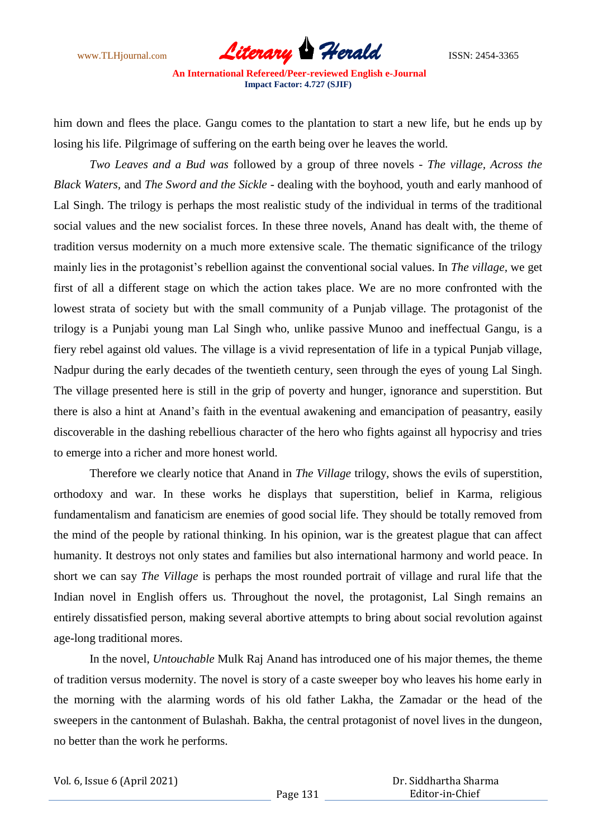www.TLHjournal.com *Literary Herald*ISSN: 2454-3365

him down and flees the place. Gangu comes to the plantation to start a new life, but he ends up by losing his life. Pilgrimage of suffering on the earth being over he leaves the world.

*Two Leaves and a Bud was* followed by a group of three novels - *The village, Across the Black Waters,* and *The Sword and the Sickle* - dealing with the boyhood, youth and early manhood of Lal Singh. The trilogy is perhaps the most realistic study of the individual in terms of the traditional social values and the new socialist forces. In these three novels, Anand has dealt with, the theme of tradition versus modernity on a much more extensive scale. The thematic significance of the trilogy mainly lies in the protagonist's rebellion against the conventional social values. In *The village,* we get first of all a different stage on which the action takes place. We are no more confronted with the lowest strata of society but with the small community of a Punjab village. The protagonist of the trilogy is a Punjabi young man Lal Singh who, unlike passive Munoo and ineffectual Gangu, is a fiery rebel against old values. The village is a vivid representation of life in a typical Punjab village, Nadpur during the early decades of the twentieth century, seen through the eyes of young Lal Singh. The village presented here is still in the grip of poverty and hunger, ignorance and superstition. But there is also a hint at Anand's faith in the eventual awakening and emancipation of peasantry, easily discoverable in the dashing rebellious character of the hero who fights against all hypocrisy and tries to emerge into a richer and more honest world.

Therefore we clearly notice that Anand in *The Village* trilogy, shows the evils of superstition, orthodoxy and war. In these works he displays that superstition, belief in Karma, religious fundamentalism and fanaticism are enemies of good social life. They should be totally removed from the mind of the people by rational thinking. In his opinion, war is the greatest plague that can affect humanity. It destroys not only states and families but also international harmony and world peace. In short we can say *The Village* is perhaps the most rounded portrait of village and rural life that the Indian novel in English offers us. Throughout the novel, the protagonist, Lal Singh remains an entirely dissatisfied person, making several abortive attempts to bring about social revolution against age-long traditional mores.

In the novel, *Untouchable* Mulk Raj Anand has introduced one of his major themes, the theme of tradition versus modernity. The novel is story of a caste sweeper boy who leaves his home early in the morning with the alarming words of his old father Lakha, the Zamadar or the head of the sweepers in the cantonment of Bulashah. Bakha, the central protagonist of novel lives in the dungeon, no better than the work he performs.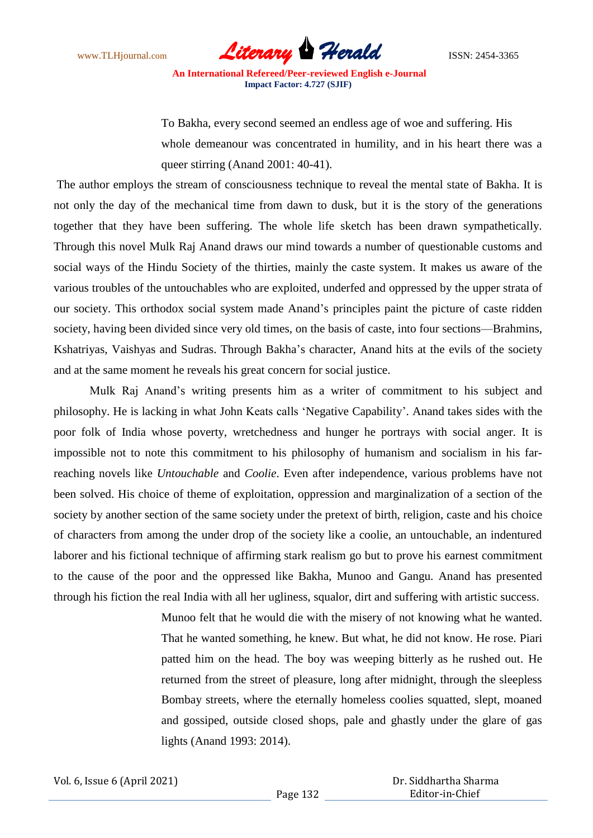www.TLHjournal.com *Literary Herald*ISSN: 2454-3365

To Bakha, every second seemed an endless age of woe and suffering. His whole demeanour was concentrated in humility, and in his heart there was a queer stirring (Anand 2001: 40-41).

The author employs the stream of consciousness technique to reveal the mental state of Bakha. It is not only the day of the mechanical time from dawn to dusk, but it is the story of the generations together that they have been suffering. The whole life sketch has been drawn sympathetically. Through this novel Mulk Raj Anand draws our mind towards a number of questionable customs and social ways of the Hindu Society of the thirties, mainly the caste system. It makes us aware of the various troubles of the untouchables who are exploited, underfed and oppressed by the upper strata of our society. This orthodox social system made Anand's principles paint the picture of caste ridden society, having been divided since very old times, on the basis of caste, into four sections—Brahmins, Kshatriyas, Vaishyas and Sudras. Through Bakha's character, Anand hits at the evils of the society and at the same moment he reveals his great concern for social justice.

Mulk Raj Anand's writing presents him as a writer of commitment to his subject and philosophy. He is lacking in what John Keats calls 'Negative Capability'. Anand takes sides with the poor folk of India whose poverty, wretchedness and hunger he portrays with social anger. It is impossible not to note this commitment to his philosophy of humanism and socialism in his farreaching novels like *Untouchable* and *Coolie*. Even after independence, various problems have not been solved. His choice of theme of exploitation, oppression and marginalization of a section of the society by another section of the same society under the pretext of birth, religion, caste and his choice of characters from among the under drop of the society like a coolie, an untouchable, an indentured laborer and his fictional technique of affirming stark realism go but to prove his earnest commitment to the cause of the poor and the oppressed like Bakha, Munoo and Gangu. Anand has presented through his fiction the real India with all her ugliness, squalor, dirt and suffering with artistic success.

> Munoo felt that he would die with the misery of not knowing what he wanted. That he wanted something, he knew. But what, he did not know. He rose. Piari patted him on the head. The boy was weeping bitterly as he rushed out. He returned from the street of pleasure, long after midnight, through the sleepless Bombay streets, where the eternally homeless coolies squatted, slept, moaned and gossiped, outside closed shops, pale and ghastly under the glare of gas lights (Anand 1993: 2014).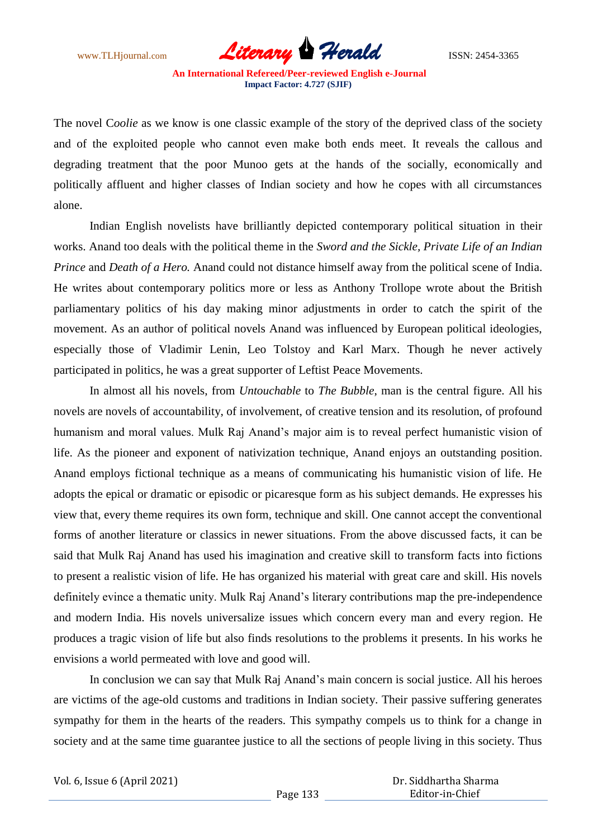www.TLHjournal.com **Literary Herald Herald** ISSN: 2454-3365

The novel C*oolie* as we know is one classic example of the story of the deprived class of the society and of the exploited people who cannot even make both ends meet. It reveals the callous and degrading treatment that the poor Munoo gets at the hands of the socially, economically and politically affluent and higher classes of Indian society and how he copes with all circumstances alone.

Indian English novelists have brilliantly depicted contemporary political situation in their works. Anand too deals with the political theme in the *Sword and the Sickle, Private Life of an Indian Prince and Death of a Hero.* Anand could not distance himself away from the political scene of India. He writes about contemporary politics more or less as Anthony Trollope wrote about the British parliamentary politics of his day making minor adjustments in order to catch the spirit of the movement. As an author of political novels Anand was influenced by European political ideologies, especially those of Vladimir Lenin, Leo Tolstoy and Karl Marx. Though he never actively participated in politics, he was a great supporter of Leftist Peace Movements.

In almost all his novels, from *Untouchable* to *The Bubble*, man is the central figure. All his novels are novels of accountability, of involvement, of creative tension and its resolution, of profound humanism and moral values. Mulk Raj Anand's major aim is to reveal perfect humanistic vision of life. As the pioneer and exponent of nativization technique, Anand enjoys an outstanding position. Anand employs fictional technique as a means of communicating his humanistic vision of life. He adopts the epical or dramatic or episodic or picaresque form as his subject demands. He expresses his view that, every theme requires its own form, technique and skill. One cannot accept the conventional forms of another literature or classics in newer situations. From the above discussed facts, it can be said that Mulk Raj Anand has used his imagination and creative skill to transform facts into fictions to present a realistic vision of life. He has organized his material with great care and skill. His novels definitely evince a thematic unity. Mulk Raj Anand's literary contributions map the pre-independence and modern India. His novels universalize issues which concern every man and every region. He produces a tragic vision of life but also finds resolutions to the problems it presents. In his works he envisions a world permeated with love and good will.

In conclusion we can say that Mulk Raj Anand's main concern is social justice. All his heroes are victims of the age-old customs and traditions in Indian society. Their passive suffering generates sympathy for them in the hearts of the readers. This sympathy compels us to think for a change in society and at the same time guarantee justice to all the sections of people living in this society. Thus